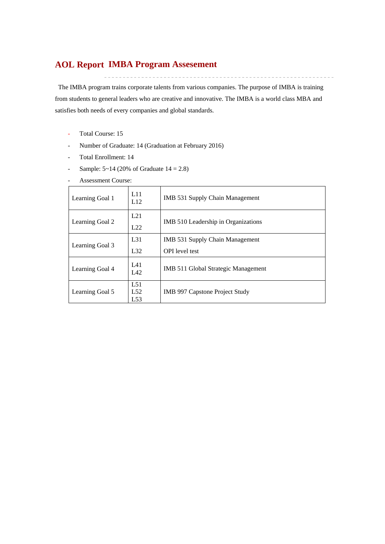## **IMBA Program Assesement AOL Report**

The IMBA program trains corporate talents from various companies. The purpose of IMBA is training from students to general leaders who are creative and innovative. The IMBA is a world class MBA and satisfies both needs of every companies and global standards.

- Total Course: 15
- Number of Graduate: 14 (Graduation at February 2016)
- Total Enrollment: 14
- Sample:  $5~14$  (20% of Graduate  $14 = 2.8$ )
- Assessment Course:

| Learning Goal 1 | L11<br>L12        | IMB 531 Supply Chain Management                          |
|-----------------|-------------------|----------------------------------------------------------|
| Learning Goal 2 | L21<br>L22        | IMB 510 Leadership in Organizations                      |
| Learning Goal 3 | $L_{31}$<br>L32   | IMB 531 Supply Chain Management<br><b>OPI</b> level test |
| Learning Goal 4 | L41<br>L42        | IMB 511 Global Strategic Management                      |
| Learning Goal 5 | L51<br>L52<br>L53 | IMB 997 Capstone Project Study                           |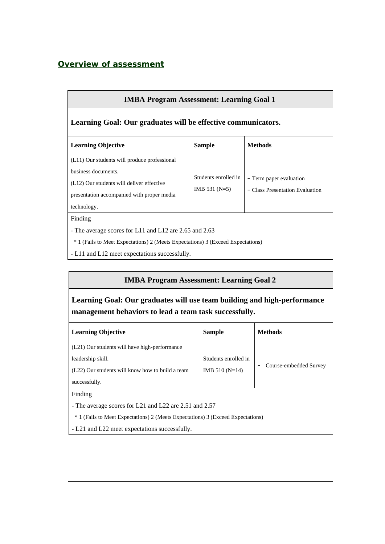## *Overview of assessment*

| <b>IMBA Program Assessment: Learning Goal 1</b>                                                                                                                                                                  |                                         |                                                            |  |  |  |  |  |  |  |  |  |
|------------------------------------------------------------------------------------------------------------------------------------------------------------------------------------------------------------------|-----------------------------------------|------------------------------------------------------------|--|--|--|--|--|--|--|--|--|
| Learning Goal: Our graduates will be effective communicators.                                                                                                                                                    |                                         |                                                            |  |  |  |  |  |  |  |  |  |
| <b>Learning Objective</b>                                                                                                                                                                                        | <b>Sample</b>                           | <b>Methods</b>                                             |  |  |  |  |  |  |  |  |  |
| (L11) Our students will produce professional<br>business documents.<br>(L12) Our students will deliver effective<br>presentation accompanied with proper media<br>technology.                                    | Students enrolled in<br>IMB 531 $(N=5)$ | - Term paper evaluation<br>- Class Presentation Evaluation |  |  |  |  |  |  |  |  |  |
| Finding<br>- The average scores for L11 and L12 are 2.65 and 2.63<br><sup>*</sup> 1 (Fails to Meet Expectations) 2 (Meets Expectations) 3 (Exceed Expectations)<br>- L11 and L12 meet expectations successfully. |                                         |                                                            |  |  |  |  |  |  |  |  |  |

### **IMBA Program Assessment: Learning Goal 2**

**Learning Goal: Our graduates will use team building and high-performance management behaviors to lead a team task successfully.** 

| <b>Learning Objective</b>                                                                  | <b>Sample</b>        | <b>Methods</b>         |
|--------------------------------------------------------------------------------------------|----------------------|------------------------|
| (L21) Our students will have high-performance                                              |                      |                        |
| leadership skill.                                                                          | Students enrolled in |                        |
| (L22) Our students will know how to build a team                                           | IMB $510(N=14)$      | Course-embedded Survey |
| successfully.                                                                              |                      |                        |
| Finding                                                                                    |                      |                        |
| - The average scores for L21 and L22 are 2.51 and 2.57                                     |                      |                        |
| <sup>*</sup> 1 (Fails to Meet Expectations) 2 (Meets Expectations) 3 (Exceed Expectations) |                      |                        |

**-** L21 and L22 meet expectations successfully.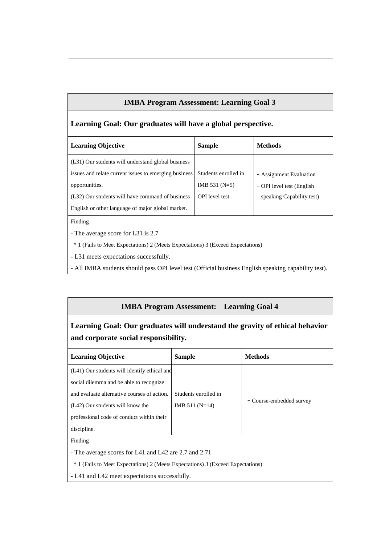### **IMBA Program Assessment: Learning Goal 3**

### **Learning Goal: Our graduates will have a global perspective.**

| <b>Learning Objective</b>                             | <b>Sample</b>         | <b>Methods</b>             |
|-------------------------------------------------------|-----------------------|----------------------------|
| (L31) Our students will understand global business    |                       |                            |
| issues and relate current issues to emerging business | Students enrolled in  | - Assignment Evaluation    |
| opportunities.                                        | IMB $531(N=5)$        | - OPI level test (English) |
| (L32) Our students will have command of business      | <b>OPI</b> level test | speaking Capability test)  |
| English or other language of major global market.     |                       |                            |
| Finding                                               |                       |                            |

- The average score for L31 is 2.7

\* 1 (Fails to Meet Expectations) 2 (Meets Expectations) 3 (Exceed Expectations)

**-** L31 meets expectations successfully.

- All IMBA students should pass OPI level test (Official business English speaking capability test).

#### **IMBA Program Assessment: Learning Goal 4**

# **Learning Goal: Our graduates will understand the gravity of ethical behavior and corporate social responsibility.**

| <b>Learning Objective</b>                                                                                                                                                                                                              | <b>Sample</b>                           | <b>Methods</b>           |
|----------------------------------------------------------------------------------------------------------------------------------------------------------------------------------------------------------------------------------------|-----------------------------------------|--------------------------|
| (L41) Our students will identify ethical and<br>social dilemma and be able to recognize<br>and evaluate alternative courses of action.<br>(L42) Our students will know the<br>professional code of conduct within their<br>discipline. | Students enrolled in<br>IMB $511(N=14)$ | - Course-embedded survey |
| Finding<br>- The average scores for L41 and L42 are 2.7 and 2.71<br><sup>*</sup> 1 (Fails to Meet Expectations) 2 (Meets Expectations) 3 (Exceed Expectations)                                                                         |                                         |                          |

**-** L41 and L42 meet expectations successfully.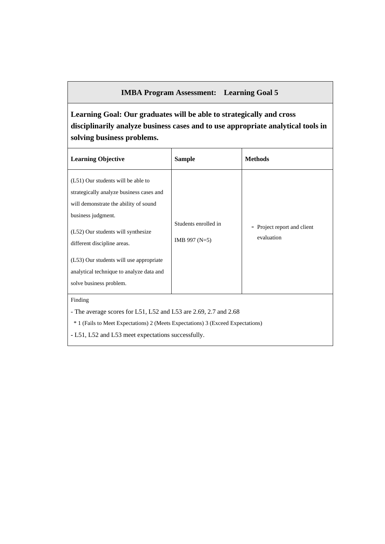## **IMBA Program Assessment: Learning Goal 5**

**Learning Goal: Our graduates will be able to strategically and cross disciplinarily analyze business cases and to use appropriate analytical tools in solving business problems.** 

| <b>Learning Objective</b>                                                                                                                                                                                                                                                                                                            | <b>Sample</b>                                                                                                                                                                                             | <b>Methods</b>                            |  |  |  |  |  |  |  |  |  |
|--------------------------------------------------------------------------------------------------------------------------------------------------------------------------------------------------------------------------------------------------------------------------------------------------------------------------------------|-----------------------------------------------------------------------------------------------------------------------------------------------------------------------------------------------------------|-------------------------------------------|--|--|--|--|--|--|--|--|--|
| (L51) Our students will be able to<br>strategically analyze business cases and<br>will demonstrate the ability of sound<br>business judgment.<br>(L52) Our students will synthesize<br>different discipline areas.<br>(L53) Our students will use appropriate<br>analytical technique to analyze data and<br>solve business problem. | Students enrolled in<br>IMB 997 $(N=5)$                                                                                                                                                                   | - Project report and client<br>evaluation |  |  |  |  |  |  |  |  |  |
| Finding                                                                                                                                                                                                                                                                                                                              | - The average scores for L51, L52 and L53 are 2.69, 2.7 and 2.68<br>* 1 (Fails to Meet Expectations) 2 (Meets Expectations) 3 (Exceed Expectations)<br>- L51, L52 and L53 meet expectations successfully. |                                           |  |  |  |  |  |  |  |  |  |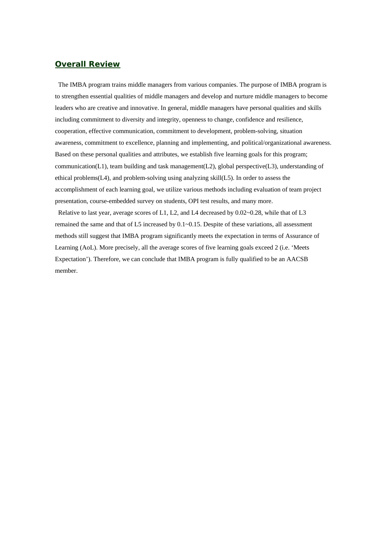### *Overall Review*

The IMBA program trains middle managers from various companies. The purpose of IMBA program is to strengthen essential qualities of middle managers and develop and nurture middle managers to become leaders who are creative and innovative. In general, middle managers have personal qualities and skills including commitment to diversity and integrity, openness to change, confidence and resilience, cooperation, effective communication, commitment to development, problem-solving, situation awareness, commitment to excellence, planning and implementing, and political/organizational awareness. Based on these personal qualities and attributes, we establish five learning goals for this program; communication(L1), team building and task management(L2), global perspective(L3), understanding of ethical problems( $L4$ ), and problem-solving using analyzing skill $(L5)$ . In order to assess the accomplishment of each learning goal, we utilize various methods including evaluation of team project presentation, course-embedded survey on students, OPI test results, and many more.

Relative to last year, average scores of L1, L2, and L4 decreased by 0.02~0.28, while that of L3 remained the same and that of L5 increased by 0.1~0.15. Despite of these variations, all assessment methods still suggest that IMBA program significantly meets the expectation in terms of Assurance of Learning (AoL). More precisely, all the average scores of five learning goals exceed 2 (i.e. 'Meets Expectation'). Therefore, we can conclude that IMBA program is fully qualified to be an AACSB member.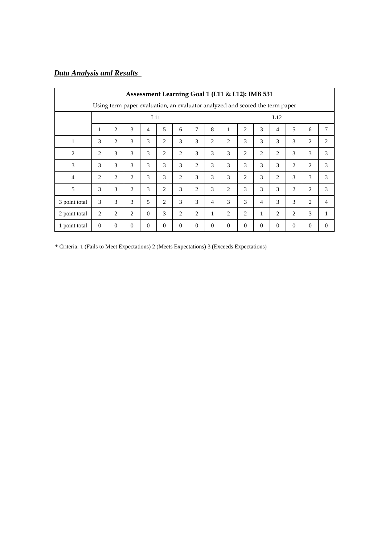# *Data Analysis and Results*

|                                                                              | Assessment Learning Goal 1 (L11 & L12): IMB 531 |                |                |          |                |                |                |                |                |                |                |                |                |                |                |
|------------------------------------------------------------------------------|-------------------------------------------------|----------------|----------------|----------|----------------|----------------|----------------|----------------|----------------|----------------|----------------|----------------|----------------|----------------|----------------|
| Using term paper evaluation, an evaluator analyzed and scored the term paper |                                                 |                |                |          |                |                |                |                |                |                |                |                |                |                |                |
|                                                                              | L11                                             |                |                |          |                |                |                |                |                |                |                | L12            |                |                |                |
|                                                                              | 1                                               | $\overline{2}$ | 3              | 4        | 5              | 6              | 7              | 8              | 1              | $\overline{c}$ | 3              | $\overline{4}$ | 5              | 6              | 7              |
| $\mathbf{1}$                                                                 | 3                                               | 2              | 3              | 3        | $\overline{2}$ | 3              | 3              | $\overline{2}$ | $\overline{2}$ | 3              | 3              | 3              | 3              | $\overline{c}$ | 2              |
| $\overline{2}$                                                               | 2                                               | 3              | 3              | 3        | $\overline{c}$ | 2              | 3              | 3              | 3              | $\overline{c}$ | $\overline{c}$ | 2              | 3              | 3              | 3              |
| 3                                                                            | 3                                               | 3              | 3              | 3        | 3              | 3              | 2              | 3              | 3              | 3              | 3              | 3              | $\overline{c}$ | $\overline{c}$ | 3              |
| $\overline{4}$                                                               | $\overline{2}$                                  | 2              | $\overline{c}$ | 3        | 3              | $\overline{2}$ | 3              | 3              | 3              | 2              | 3              | 2              | 3              | 3              | 3              |
| 5                                                                            | 3                                               | 3              | $\mathfrak{D}$ | 3        | $\overline{c}$ | 3              | 2              | 3              | 2              | 3              | 3              | 3              | $\overline{c}$ | $\overline{c}$ | 3              |
| 3 point total                                                                | 3                                               | 3              | 3              | 5        | $\overline{c}$ | 3              | 3              | $\overline{4}$ | 3              | $\mathcal{F}$  | 4              | 3              | 3              | $\overline{c}$ | $\overline{4}$ |
| 2 point total                                                                | $\overline{2}$                                  | $\overline{2}$ | $\overline{2}$ | $\theta$ | 3              | $\overline{2}$ | $\overline{c}$ | $\mathbf{1}$   | $\overline{2}$ | $\overline{c}$ | 1              | 2              | $\overline{c}$ | 3              | 1              |
| 1 point total                                                                | $\theta$                                        | $\overline{0}$ | $\Omega$       | $\theta$ | $\theta$       | $\Omega$       | $\overline{0}$ | $\overline{0}$ | $\theta$       | $\Omega$       | $\Omega$       | $\overline{0}$ | $\theta$       | $\theta$       | $\theta$       |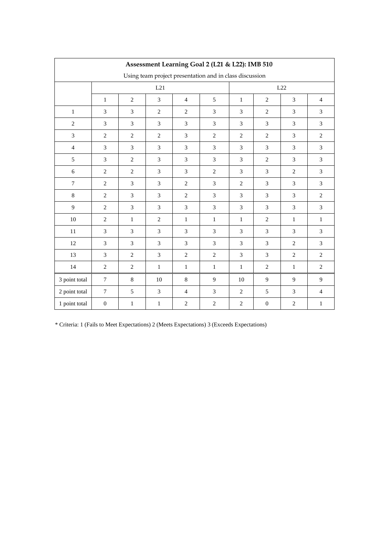|                  | Assessment Learning Goal 2 (L21 & L22): IMB 510 |                |                |                |                                                         |                |                  |                |                |  |  |  |  |
|------------------|-------------------------------------------------|----------------|----------------|----------------|---------------------------------------------------------|----------------|------------------|----------------|----------------|--|--|--|--|
|                  |                                                 |                |                |                | Using team project presentation and in class discussion |                |                  |                |                |  |  |  |  |
|                  |                                                 |                | L21            | L22            |                                                         |                |                  |                |                |  |  |  |  |
|                  | $\mathbf{1}$                                    | $\overline{c}$ | 3              | $\overline{4}$ | 5                                                       | $\mathbf{1}$   | $\mathbf{2}$     | 3              | $\overline{4}$ |  |  |  |  |
| $\,1$            | $\mathfrak{Z}$                                  | $\mathfrak{Z}$ | $\sqrt{2}$     | $\overline{c}$ | $\overline{3}$                                          | 3              | $\overline{2}$   | $\mathfrak{Z}$ | $\overline{3}$ |  |  |  |  |
| $\overline{2}$   | $\overline{3}$                                  | 3              | $\mathfrak{Z}$ | 3              | 3                                                       | 3              | 3                | 3              | 3              |  |  |  |  |
| $\mathfrak{Z}$   | $\sqrt{2}$                                      | $\sqrt{2}$     | $\sqrt{2}$     | 3              | $\sqrt{2}$                                              | $\sqrt{2}$     | $\sqrt{2}$       | $\mathfrak{Z}$ | $\overline{2}$ |  |  |  |  |
| $\overline{4}$   | $\overline{3}$                                  | 3              | 3              | 3              | $\overline{3}$                                          | 3              | 3                | 3              | $\overline{3}$ |  |  |  |  |
| 5                | 3                                               | $\mathbf{2}$   | 3              | 3              | 3                                                       | 3              | $\overline{2}$   | 3              | $\overline{3}$ |  |  |  |  |
| $\sqrt{6}$       | $\overline{2}$                                  | $\sqrt{2}$     | $\mathfrak{Z}$ | 3              | $\overline{2}$                                          | 3              | 3                | $\sqrt{2}$     | $\mathfrak{Z}$ |  |  |  |  |
| $\boldsymbol{7}$ | $\overline{2}$                                  | $\overline{3}$ | 3              | $\overline{2}$ | $\overline{3}$                                          | $\mathbf{2}$   | $\overline{3}$   | $\overline{3}$ | $\overline{3}$ |  |  |  |  |
| $8\,$            | $\overline{c}$                                  | $\mathfrak{Z}$ | $\mathfrak{Z}$ | $\overline{c}$ | $\mathfrak{Z}$                                          | 3              | 3                | 3              | $\mathbf{2}$   |  |  |  |  |
| 9                | $\overline{c}$                                  | $\mathfrak{Z}$ | 3              | 3              | $\mathfrak{Z}$                                          | $\overline{3}$ | 3                | 3              | $\mathfrak{Z}$ |  |  |  |  |
| $10\,$           | $\overline{2}$                                  | $\,1$          | $\overline{2}$ | $\,1$          | $\mathbf{1}$                                            | $\mathbf{1}$   | $\overline{2}$   | $\mathbf{1}$   | $\mathbf{1}$   |  |  |  |  |
| 11               | 3                                               | 3              | $\mathfrak{Z}$ | 3              | 3                                                       | 3              | 3                | 3              | $\mathfrak{Z}$ |  |  |  |  |
| 12               | $\overline{3}$                                  | $\overline{3}$ | 3              | 3              | $\overline{3}$                                          | 3              | 3                | $\sqrt{2}$     | $\overline{3}$ |  |  |  |  |
| 13               | $\overline{3}$                                  | $\overline{2}$ | $\mathfrak{Z}$ | $\overline{2}$ | $\overline{2}$                                          | 3              | 3                | $\overline{2}$ | $\overline{2}$ |  |  |  |  |
| 14               | $\sqrt{2}$                                      | $\sqrt{2}$     | $\mathbf 1$    | $\mathbf 1$    | $\,1$                                                   | $\,1\,$        | $\sqrt{2}$       | $\mathbf{1}$   | $\overline{2}$ |  |  |  |  |
| 3 point total    | $\tau$                                          | $8\,$          | 10             | $\,8\,$        | 9                                                       | 10             | 9                | 9              | 9              |  |  |  |  |
| 2 point total    | $\boldsymbol{7}$                                | 5              | $\mathfrak{Z}$ | $\overline{4}$ | $\overline{3}$                                          | $\overline{c}$ | 5                | 3              | $\overline{4}$ |  |  |  |  |
| 1 point total    | $\boldsymbol{0}$                                | $\mathbf{1}$   | $\mathbf 1$    | $\overline{c}$ | $\sqrt{2}$                                              | $\sqrt{2}$     | $\boldsymbol{0}$ | $\sqrt{2}$     | $\mathbf{1}$   |  |  |  |  |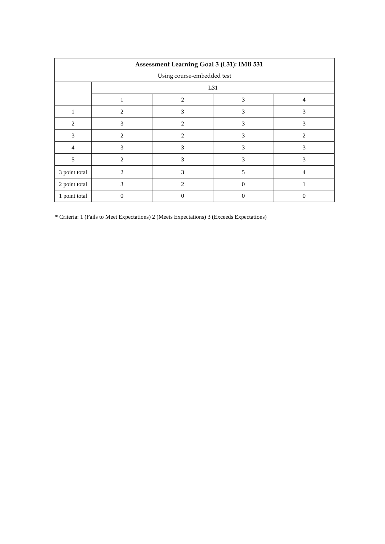|                            | Assessment Learning Goal 3 (L31): IMB 531 |                |          |                |  |  |  |  |  |  |  |  |
|----------------------------|-------------------------------------------|----------------|----------|----------------|--|--|--|--|--|--|--|--|
| Using course-embedded test |                                           |                |          |                |  |  |  |  |  |  |  |  |
|                            | L31                                       |                |          |                |  |  |  |  |  |  |  |  |
|                            |                                           | $\overline{4}$ |          |                |  |  |  |  |  |  |  |  |
|                            | 2                                         | 3              | 3        | 3              |  |  |  |  |  |  |  |  |
| 2                          | 3                                         | $\overline{c}$ | 3        | 3              |  |  |  |  |  |  |  |  |
| 3                          | $\overline{c}$                            | $\overline{2}$ | 3        | $\overline{c}$ |  |  |  |  |  |  |  |  |
| $\overline{4}$             | 3                                         | 3              | 3        | 3              |  |  |  |  |  |  |  |  |
| 5                          | $\mathfrak{D}$                            | 3              | 3        | 3              |  |  |  |  |  |  |  |  |
| 3 point total              | $\mathfrak{D}$                            | 3              | 5        | 4              |  |  |  |  |  |  |  |  |
| 2 point total              | 3                                         | $\mathfrak{D}$ | $\theta$ |                |  |  |  |  |  |  |  |  |
| 1 point total              | 0                                         | 0              | $\theta$ | $\theta$       |  |  |  |  |  |  |  |  |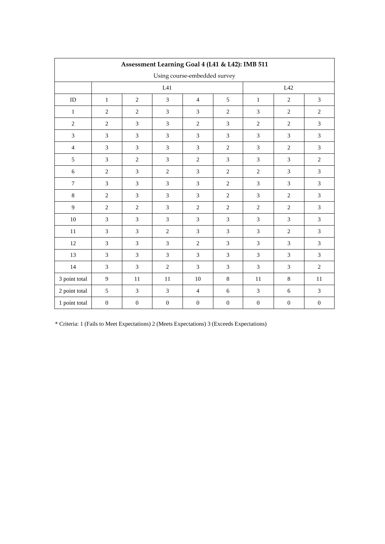|                  | Assessment Learning Goal 4 (L41 & L42): IMB 511 |                  |                             |                              |                  |                             |                  |                  |  |  |  |  |  |  |
|------------------|-------------------------------------------------|------------------|-----------------------------|------------------------------|------------------|-----------------------------|------------------|------------------|--|--|--|--|--|--|
|                  |                                                 |                  |                             | Using course-embedded survey |                  |                             |                  |                  |  |  |  |  |  |  |
|                  |                                                 |                  | L41                         |                              | L42              |                             |                  |                  |  |  |  |  |  |  |
| $\rm ID$         | $\mathbf{1}$                                    | $\sqrt{2}$       | $\ensuremath{\mathfrak{Z}}$ | $\overline{4}$               | $\sqrt{5}$       | $\mathbf{1}$                | $\overline{2}$   | $\mathfrak{Z}$   |  |  |  |  |  |  |
| $\,1$            | $\overline{2}$                                  | $\overline{2}$   | $\mathfrak{Z}$              | $\mathfrak{Z}$               | $\overline{2}$   | $\overline{3}$              | $\overline{2}$   | $\overline{2}$   |  |  |  |  |  |  |
| $\overline{2}$   | $\overline{2}$                                  | $\mathfrak{Z}$   | $\ensuremath{\mathfrak{Z}}$ | $\sqrt{2}$                   | $\mathfrak{Z}$   | $\overline{2}$              | $\overline{c}$   | 3                |  |  |  |  |  |  |
| $\overline{3}$   | $\overline{3}$                                  | 3                | $\mathfrak{Z}$              | $\mathfrak{Z}$               | $\mathfrak{Z}$   | $\overline{3}$              | $\overline{3}$   | $\overline{3}$   |  |  |  |  |  |  |
| $\overline{4}$   | 3                                               | 3                | 3                           | $\mathfrak{Z}$               | $\mathbf{2}$     | 3                           | $\overline{2}$   | 3                |  |  |  |  |  |  |
| 5                | $\mathfrak{Z}$                                  | $\sqrt{2}$       | 3                           | $\sqrt{2}$                   | $\overline{3}$   | $\overline{3}$              | $\overline{3}$   | $\sqrt{2}$       |  |  |  |  |  |  |
| $\sqrt{6}$       | $\sqrt{2}$                                      | 3                | $\sqrt{2}$                  | $\mathfrak{Z}$               | $\sqrt{2}$       | $\sqrt{2}$                  | $\mathfrak{Z}$   | 3                |  |  |  |  |  |  |
| $\boldsymbol{7}$ | $\mathfrak{Z}$                                  | $\mathfrak{Z}$   | $\sqrt{3}$                  | $\ensuremath{\mathfrak{Z}}$  | $\sqrt{2}$       | $\ensuremath{\mathfrak{Z}}$ | $\mathfrak{Z}$   | $\mathfrak{Z}$   |  |  |  |  |  |  |
| $8\,$            | $\sqrt{2}$                                      | $\mathfrak{Z}$   | $\mathfrak{Z}$              | $\mathfrak{Z}$               | $\sqrt{2}$       | $\mathfrak{Z}$              | $\overline{2}$   | $\mathfrak{Z}$   |  |  |  |  |  |  |
| 9                | $\sqrt{2}$                                      | $\sqrt{2}$       | $\mathfrak{Z}$              | $\sqrt{2}$                   | $\sqrt{2}$       | $\sqrt{2}$                  | $\overline{c}$   | $\mathfrak{Z}$   |  |  |  |  |  |  |
| $10\,$           | 3                                               | 3                | $\overline{3}$              | $\mathfrak{Z}$               | $\overline{3}$   | $\mathfrak{Z}$              | $\overline{3}$   | $\overline{3}$   |  |  |  |  |  |  |
| 11               | $\mathfrak{Z}$                                  | $\mathfrak{Z}$   | $\sqrt{2}$                  | $\mathfrak{Z}$               | $\mathfrak 3$    | $\mathfrak{Z}$              | $\sqrt{2}$       | $\mathfrak{Z}$   |  |  |  |  |  |  |
| 12               | $\overline{3}$                                  | 3                | $\mathfrak{Z}$              | $\sqrt{2}$                   | $\mathfrak{Z}$   | $\overline{3}$              | $\overline{3}$   | $\overline{3}$   |  |  |  |  |  |  |
| 13               | 3                                               | 3                | 3                           | $\mathfrak{Z}$               | 3                | 3                           | 3                | 3                |  |  |  |  |  |  |
| 14               | $\overline{3}$                                  | 3                | $\overline{c}$              | $\overline{3}$               | $\overline{3}$   | $\overline{3}$              | $\overline{3}$   | $\overline{2}$   |  |  |  |  |  |  |
| 3 point total    | $\overline{9}$                                  | 11               | 11                          | 10                           | $\,8\,$          | 11                          | $\,8\,$          | 11               |  |  |  |  |  |  |
| 2 point total    | 5                                               | $\mathfrak{Z}$   | $\sqrt{3}$                  | $\overline{4}$               | $\sqrt{6}$       | $\sqrt{3}$                  | $\sqrt{6}$       | $\mathfrak{Z}$   |  |  |  |  |  |  |
| 1 point total    | $\boldsymbol{0}$                                | $\boldsymbol{0}$ | $\boldsymbol{0}$            | $\boldsymbol{0}$             | $\boldsymbol{0}$ | $\boldsymbol{0}$            | $\boldsymbol{0}$ | $\boldsymbol{0}$ |  |  |  |  |  |  |